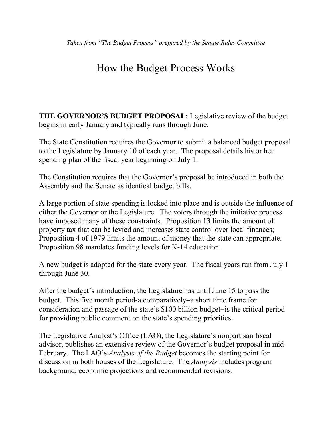## How the Budget Process Works

**THE GOVERNOR'S BUDGET PROPOSAL:** Legislative review of the budget begins in early January and typically runs through June.

The State Constitution requires the Governor to submit a balanced budget proposal to the Legislature by January 10 of each year. The proposal details his or her spending plan of the fiscal year beginning on July 1.

The Constitution requires that the Governor's proposal be introduced in both the Assembly and the Senate as identical budget bills.

A large portion of state spending is locked into place and is outside the influence of either the Governor or the Legislature. The voters through the initiative process have imposed many of these constraints. Proposition 13 limits the amount of property tax that can be levied and increases state control over local finances; Proposition 4 of 1979 limits the amount of money that the state can appropriate. Proposition 98 mandates funding levels for K-14 education.

A new budget is adopted for the state every year. The fiscal years run from July 1 through June 30.

After the budget's introduction, the Legislature has until June 15 to pass the budget. This five month period-a comparatively-a short time frame for consideration and passage of the state's  $$100$  billion budget-is the critical period for providing public comment on the state's spending priorities.

The Legislative Analyst's Office (LAO), the Legislature's nonpartisan fiscal advisor, publishes an extensive review of the Governor's budget proposal in mid-February. The LAO's *Analysis of the Budget* becomes the starting point for discussion in both houses of the Legislature. The *Analysis* includes program background, economic projections and recommended revisions.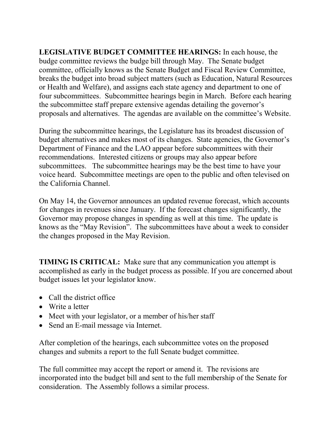**LEGISLATIVE BUDGET COMMITTEE HEARINGS:** In each house, the budge committee reviews the budge bill through May. The Senate budget committee, officially knows as the Senate Budget and Fiscal Review Committee, breaks the budget into broad subject matters (such as Education, Natural Resources or Health and Welfare), and assigns each state agency and department to one of four subcommittees. Subcommittee hearings begin in March. Before each hearing the subcommittee staff prepare extensive agendas detailing the governor's proposals and alternatives. The agendas are available on the committee's Website.

During the subcommittee hearings, the Legislature has its broadest discussion of budget alternatives and makes most of its changes. State agencies, the Governor's Department of Finance and the LAO appear before subcommittees with their recommendations. Interested citizens or groups may also appear before subcommittees. The subcommittee hearings may be the best time to have your voice heard. Subcommittee meetings are open to the public and often televised on the California Channel.

On May 14, the Governor announces an updated revenue forecast, which accounts for changes in revenues since January. If the forecast changes significantly, the Governor may propose changes in spending as well at this time. The update is knows as the "May Revision". The subcommittees have about a week to consider the changes proposed in the May Revision.

**TIMING IS CRITICAL:** Make sure that any communication you attempt is accomplished as early in the budget process as possible. If you are concerned about budget issues let your legislator know.

- Call the district office
- Write a letter
- Meet with your legislator, or a member of his/her staff
- Send an E-mail message via Internet.

After completion of the hearings, each subcommittee votes on the proposed changes and submits a report to the full Senate budget committee.

The full committee may accept the report or amend it. The revisions are incorporated into the budget bill and sent to the full membership of the Senate for consideration. The Assembly follows a similar process.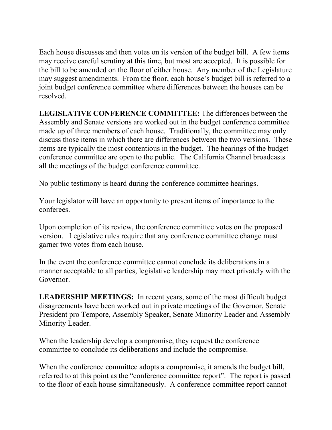Each house discusses and then votes on its version of the budget bill. A few items may receive careful scrutiny at this time, but most are accepted. It is possible for the bill to be amended on the floor of either house. Any member of the Legislature may suggest amendments. From the floor, each house's budget bill is referred to a joint budget conference committee where differences between the houses can be resolved.

**LEGISLATIVE CONFERENCE COMMITTEE:** The differences between the Assembly and Senate versions are worked out in the budget conference committee made up of three members of each house. Traditionally, the committee may only discuss those items in which there are differences between the two versions. These items are typically the most contentious in the budget. The hearings of the budget conference committee are open to the public. The California Channel broadcasts all the meetings of the budget conference committee.

No public testimony is heard during the conference committee hearings.

Your legislator will have an opportunity to present items of importance to the conferees.

Upon completion of its review, the conference committee votes on the proposed version. Legislative rules require that any conference committee change must garner two votes from each house.

In the event the conference committee cannot conclude its deliberations in a manner acceptable to all parties, legislative leadership may meet privately with the Governor.

**LEADERSHIP MEETINGS:** In recent years, some of the most difficult budget disagreements have been worked out in private meetings of the Governor, Senate President pro Tempore, Assembly Speaker, Senate Minority Leader and Assembly Minority Leader.

When the leadership develop a compromise, they request the conference committee to conclude its deliberations and include the compromise.

When the conference committee adopts a compromise, it amends the budget bill, referred to at this point as the "conference committee report". The report is passed to the floor of each house simultaneously. A conference committee report cannot